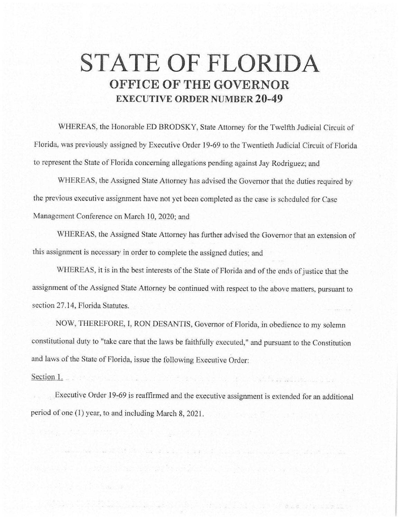## **STATE OF FLORIDA OFFICE OF THE GOVERNOR EXECUTIVE ORDER NUMBER 20-49**

WHEREAS, the Honorable ED BRODSKY, State Attorney for the Twelfth Judicial Circuit of Florida, was previously assigned by Executive Order 19-69 to the Twentieth Judicial Circuit of Florida to represent the State of Florida concerning allegations pending against Jay Rodriguez; and

WHEREAS, the Assigned State Attorney has advised the Governor that the duties required by the previous executive assignment have not yet been completed as the case is scheduled for Case Management Conference on March 10, 2020; and

WHEREAS, the Assigned State Attorney has further advised the Governor that an extension of this assignment is necessary in order to complete the assigned duties; and

WHEREAS, it is in the best interests of the State of Florida and of the ends of justice that the assignment of the Assigned State Attorney be continued with respect to the above matters, pursuant to section 27.14, Florida Statutes.

NOW, THEREFORE, I, RON DESANTIS, Governor of Florida, in obedience to my solemn constitutional duty to "take care that the laws be faithfully executed," and pursuant to the Constitution and laws of the State of Florida, issue the following Executive Order:

Section 1.

Executive Order 19-69 is reaffirmed and the executive assignment is extended for an additional period of one (1) year, to and including March 8, 2021.

ith a strike is a that information